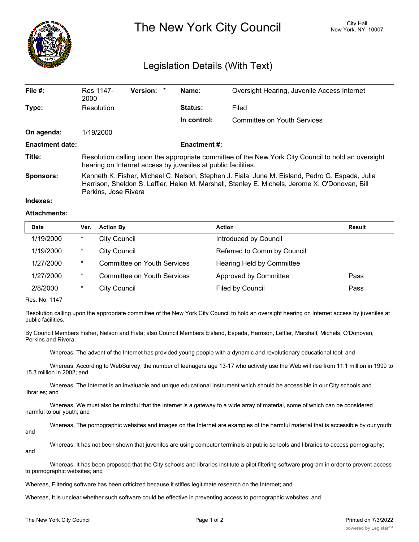

# The New York City Council New York, NY 10007

## Legislation Details (With Text)

| File $#$ :             | Res 1147-<br>2000                                                                                                                                                                                                         | Version: * |  | Name:       | Oversight Hearing, Juvenile Access Internet |  |
|------------------------|---------------------------------------------------------------------------------------------------------------------------------------------------------------------------------------------------------------------------|------------|--|-------------|---------------------------------------------|--|
| Type:                  | Resolution                                                                                                                                                                                                                |            |  | Status:     | Filed                                       |  |
|                        |                                                                                                                                                                                                                           |            |  | In control: | Committee on Youth Services                 |  |
| On agenda:             | 1/19/2000                                                                                                                                                                                                                 |            |  |             |                                             |  |
| <b>Enactment date:</b> | <b>Enactment #:</b>                                                                                                                                                                                                       |            |  |             |                                             |  |
| Title:                 | Resolution calling upon the appropriate committee of the New York City Council to hold an oversight<br>hearing on Internet access by juveniles at public facilities.                                                      |            |  |             |                                             |  |
| <b>Sponsors:</b>       | Kenneth K. Fisher, Michael C. Nelson, Stephen J. Fiala, June M. Eisland, Pedro G. Espada, Julia<br>Harrison, Sheldon S. Leffler, Helen M. Marshall, Stanley E. Michels, Jerome X. O'Donovan, Bill<br>Perkins, Jose Rivera |            |  |             |                                             |  |

#### **Indexes:**

#### **Attachments:**

| <b>Date</b> | Ver.   | <b>Action By</b>                   | <b>Action</b>               | Result |
|-------------|--------|------------------------------------|-----------------------------|--------|
| 1/19/2000   | $\ast$ | <b>City Council</b>                | Introduced by Council       |        |
| 1/19/2000   | $\ast$ | <b>City Council</b>                | Referred to Comm by Council |        |
| 1/27/2000   | $\ast$ | <b>Committee on Youth Services</b> | Hearing Held by Committee   |        |
| 1/27/2000   | $\ast$ | <b>Committee on Youth Services</b> | Approved by Committee       | Pass   |
| 2/8/2000    | $\ast$ | City Council                       | Filed by Council            | Pass   |

Res. No. 1147

Resolution calling upon the appropriate committee of the New York City Council to hold an oversight hearing on Internet access by juveniles at public facilities.

By Council Members Fisher, Nelson and Fiala; also Council Members Eisland, Espada, Harrison, Leffler, Marshall, Michels, O'Donovan, Perkins and Rivera.

Whereas, The advent of the Internet has provided young people with a dynamic and revolutionary educational tool; and

Whereas, According to WebSurvey, the number of teenagers age 13-17 who actively use the Web will rise from 11.1 million in 1999 to 15.3 million in 2002; and

Whereas, The Internet is an invaluable and unique educational instrument which should be accessible in our City schools and libraries; and

Whereas, We must also be mindful that the Internet is a gateway to a wide array of material, some of which can be considered harmful to our youth; and

Whereas, The pornographic websites and images on the Internet are examples of the harmful material that is accessible by our youth; and

Whereas, It has not been shown that juveniles are using computer terminals at public schools and libraries to access pornography; and

Whereas, It has been proposed that the City schools and libraries institute a pilot filtering software program in order to prevent access to pornographic websites; and

Whereas, Filtering software has been criticized because it stifles legitimate research on the Internet; and

Whereas, It is unclear whether such software could be effective in preventing access to pornographic websites; and

 $W_{\rm eff}$  is also uncertainty whereas, it is also uncertainty the the  $F_{\rm eff}$  matrix  $\sigma$